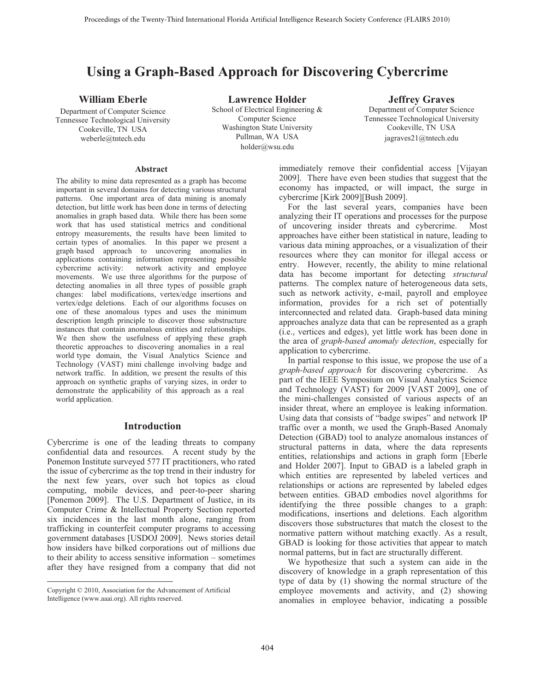# **Using a Graph-Based Approach for Discovering Cybercrime**

# **William Eberle**

Department of Computer Science Tennessee Technological University Cookeville, TN USA weberle@tntech.edu

**Lawrence Holder**  School of Electrical Engineering & Computer Science Washington State University Pullman, WA USA holder@wsu.edu

# **Jeffrey Graves**

Department of Computer Science Tennessee Technological University Cookeville, TN USA jagraves21@tntech.edu

#### **Abstract**

The ability to mine data represented as a graph has become important in several domains for detecting various structural patterns. One important area of data mining is anomaly detection, but little work has been done in terms of detecting anomalies in graph based data. While there has been some work that has used statistical metrics and conditional entropy measurements, the results have been limited to certain types of anomalies. In this paper we present a graph based approach to uncovering anomalies in applications containing information representing possible cybercrime activity: network activity and employee movements. We use three algorithms for the purpose of detecting anomalies in all three types of possible graph changes: label modifications, vertex/edge insertions and vertex/edge deletions. Each of our algorithms focuses on one of these anomalous types and uses the minimum description length principle to discover those substructure instances that contain anomalous entities and relationships. We then show the usefulness of applying these graph theoretic approaches to discovering anomalies in a real world type domain, the Visual Analytics Science and Technology (VAST) mini challenge involving badge and network traffic. In addition, we present the results of this approach on synthetic graphs of varying sizes, in order to demonstrate the applicability of this approach as a real world application.

# **Introduction**

Cybercrime is one of the leading threats to company confidential data and resources. A recent study by the Ponemon Institute surveyed 577 IT practitioners, who rated the issue of cybercrime as the top trend in their industry for the next few years, over such hot topics as cloud computing, mobile devices, and peer-to-peer sharing [Ponemon 2009]. The U.S. Department of Justice, in its Computer Crime & Intellectual Property Section reported six incidences in the last month alone, ranging from trafficking in counterfeit computer programs to accessing government databases [USDOJ 2009]. News stories detail how insiders have bilked corporations out of millions due to their ability to access sensitive information – sometimes after they have resigned from a company that did not

 $\overline{a}$ 

immediately remove their confidential access [Vijayan 2009]. There have even been studies that suggest that the economy has impacted, or will impact, the surge in cybercrime [Kirk 2009][Bush 2009].

For the last several years, companies have been analyzing their IT operations and processes for the purpose of uncovering insider threats and cybercrime. Most approaches have either been statistical in nature, leading to various data mining approaches, or a visualization of their resources where they can monitor for illegal access or entry. However, recently, the ability to mine relational data has become important for detecting *structural* patterns. The complex nature of heterogeneous data sets, such as network activity, e-mail, payroll and employee information, provides for a rich set of potentially interconnected and related data. Graph-based data mining approaches analyze data that can be represented as a graph (i.e., vertices and edges), yet little work has been done in the area of *graph-based anomaly detection*, especially for application to cybercrime.

In partial response to this issue, we propose the use of a *graph-based approach* for discovering cybercrime. As part of the IEEE Symposium on Visual Analytics Science and Technology (VAST) for 2009 [VAST 2009], one of the mini-challenges consisted of various aspects of an insider threat, where an employee is leaking information. Using data that consists of "badge swipes" and network IP traffic over a month, we used the Graph-Based Anomaly Detection (GBAD) tool to analyze anomalous instances of structural patterns in data, where the data represents entities, relationships and actions in graph form [Eberle and Holder 2007]. Input to GBAD is a labeled graph in which entities are represented by labeled vertices and relationships or actions are represented by labeled edges between entities. GBAD embodies novel algorithms for identifying the three possible changes to a graph: modifications, insertions and deletions. Each algorithm discovers those substructures that match the closest to the normative pattern without matching exactly. As a result, GBAD is looking for those activities that appear to match normal patterns, but in fact are structurally different.

We hypothesize that such a system can aide in the discovery of knowledge in a graph representation of this type of data by (1) showing the normal structure of the employee movements and activity, and (2) showing anomalies in employee behavior, indicating a possible

Copyright © 2010, Association for the Advancement of Artificial Intelligence (www.aaai.org). All rights reserved.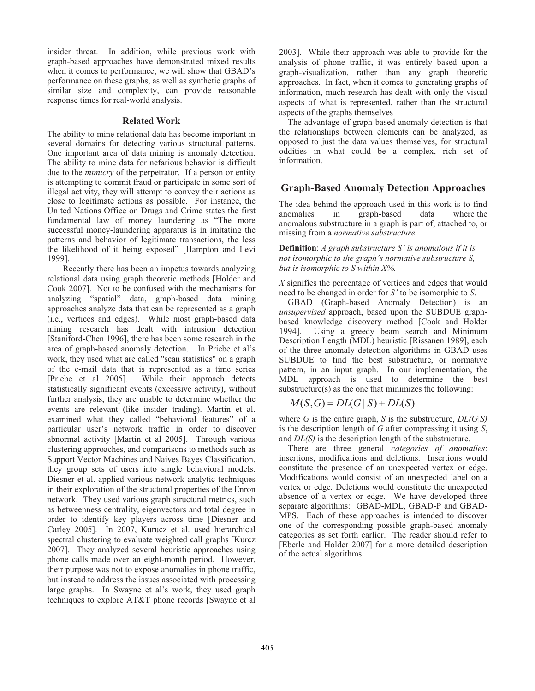insider threat. In addition, while previous work with graph-based approaches have demonstrated mixed results when it comes to performance, we will show that GBAD's performance on these graphs, as well as synthetic graphs of similar size and complexity, can provide reasonable response times for real-world analysis.

### **Related Work**

The ability to mine relational data has become important in several domains for detecting various structural patterns. One important area of data mining is anomaly detection. The ability to mine data for nefarious behavior is difficult due to the *mimicry* of the perpetrator. If a person or entity is attempting to commit fraud or participate in some sort of illegal activity, they will attempt to convey their actions as close to legitimate actions as possible. For instance, the United Nations Office on Drugs and Crime states the first fundamental law of money laundering as "The more successful money-laundering apparatus is in imitating the patterns and behavior of legitimate transactions, the less the likelihood of it being exposed" [Hampton and Levi 1999].

Recently there has been an impetus towards analyzing relational data using graph theoretic methods [Holder and Cook 2007]. Not to be confused with the mechanisms for analyzing "spatial" data, graph-based data mining approaches analyze data that can be represented as a graph (i.e., vertices and edges). While most graph-based data mining research has dealt with intrusion detection [Staniford-Chen 1996], there has been some research in the area of graph-based anomaly detection. In Priebe et al's work, they used what are called "scan statistics" on a graph of the e-mail data that is represented as a time series [Priebe et al 2005]. While their approach detects statistically significant events (excessive activity), without further analysis, they are unable to determine whether the events are relevant (like insider trading). Martin et al. examined what they called "behavioral features" of a particular user's network traffic in order to discover abnormal activity [Martin et al 2005]. Through various clustering approaches, and comparisons to methods such as Support Vector Machines and Naives Bayes Classification, they group sets of users into single behavioral models. Diesner et al. applied various network analytic techniques in their exploration of the structural properties of the Enron network. They used various graph structural metrics, such as betweenness centrality, eigenvectors and total degree in order to identify key players across time [Diesner and Carley 2005]. In 2007, Kurucz et al. used hierarchical spectral clustering to evaluate weighted call graphs [Kurcz 2007]. They analyzed several heuristic approaches using phone calls made over an eight-month period. However, their purpose was not to expose anomalies in phone traffic, but instead to address the issues associated with processing large graphs. In Swayne et al's work, they used graph techniques to explore AT&T phone records [Swayne et al

2003]. While their approach was able to provide for the analysis of phone traffic, it was entirely based upon a graph-visualization, rather than any graph theoretic approaches. In fact, when it comes to generating graphs of information, much research has dealt with only the visual aspects of what is represented, rather than the structural aspects of the graphs themselves

The advantage of graph-based anomaly detection is that the relationships between elements can be analyzed, as opposed to just the data values themselves, for structural oddities in what could be a complex, rich set of information.

# **Graph-Based Anomaly Detection Approaches**

The idea behind the approach used in this work is to find anomalies in graph-based data where the anomalous substructure in a graph is part of, attached to, or missing from a *normative substructure*.

**Definition**: *A graph substructure S' is anomalous if it is not isomorphic to the graph's normative substructure S, but is isomorphic to S within X%.*

*X* signifies the percentage of vertices and edges that would need to be changed in order for *S'* to be isomorphic to *S*.

GBAD (Graph-based Anomaly Detection) is an *unsupervised* approach, based upon the SUBDUE graphbased knowledge discovery method [Cook and Holder 1994]. Using a greedy beam search and Minimum Description Length (MDL) heuristic [Rissanen 1989], each of the three anomaly detection algorithms in GBAD uses SUBDUE to find the best substructure, or normative pattern, in an input graph. In our implementation, the MDL approach is used to determine the best substructure(s) as the one that minimizes the following:

$$
M(S, G) = DL(G | S) + DL(S)
$$

where *G* is the entire graph, *S* is the substructure, *DL(G|S)* is the description length of *G* after compressing it using *S*, and *DL(S)* is the description length of the substructure.

There are three general *categories of anomalies*: insertions, modifications and deletions. Insertions would constitute the presence of an unexpected vertex or edge. Modifications would consist of an unexpected label on a vertex or edge. Deletions would constitute the unexpected absence of a vertex or edge. We have developed three separate algorithms: GBAD-MDL, GBAD-P and GBAD-MPS. Each of these approaches is intended to discover one of the corresponding possible graph-based anomaly categories as set forth earlier. The reader should refer to [Eberle and Holder 2007] for a more detailed description of the actual algorithms.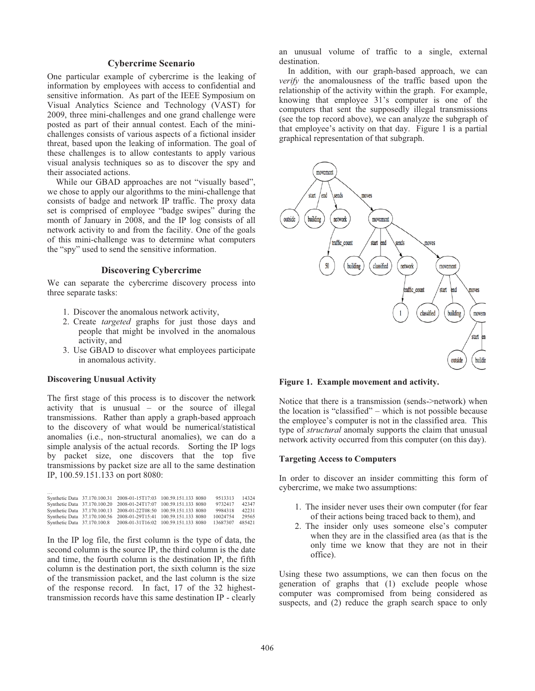# **Cybercrime Scenario**

One particular example of cybercrime is the leaking of information by employees with access to confidential and sensitive information. As part of the IEEE Symposium on Visual Analytics Science and Technology (VAST) for 2009, three mini-challenges and one grand challenge were posted as part of their annual contest. Each of the minichallenges consists of various aspects of a fictional insider threat, based upon the leaking of information. The goal of these challenges is to allow contestants to apply various visual analysis techniques so as to discover the spy and their associated actions.

While our GBAD approaches are not "visually based", we chose to apply our algorithms to the mini-challenge that consists of badge and network IP traffic. The proxy data set is comprised of employee "badge swipes" during the month of January in 2008, and the IP log consists of all network activity to and from the facility. One of the goals of this mini-challenge was to determine what computers the "spy" used to send the sensitive information.

#### **Discovering Cybercrime**

We can separate the cybercrime discovery process into three separate tasks:

- 1. Discover the anomalous network activity,
- 2. Create *targeted* graphs for just those days and people that might be involved in the anomalous activity, and
- 3. Use GBAD to discover what employees participate in anomalous activity.

#### **Discovering Unusual Activity**

The first stage of this process is to discover the network activity that is unusual – or the source of illegal transmissions. Rather than apply a graph-based approach to the discovery of what would be numerical/statistical anomalies (i.e., non-structural anomalies), we can do a simple analysis of the actual records. Sorting the IP logs by packet size, one discovers that the top five transmissions by packet size are all to the same destination IP, 100.59.151.133 on port 8080:

| $\cdots$ |                                                                   |  |          |        |
|----------|-------------------------------------------------------------------|--|----------|--------|
|          | Synthetic Data 37.170.100.31 2008-01-15T17:03 100.59.151.133 8080 |  | 9513313  | 14324  |
|          | Synthetic Data 37.170.100.20 2008-01-24T17:07 100.59.151.133 8080 |  | 9732417  | 42347  |
|          | Synthetic Data 37.170.100.13 2008-01-22T08:50 100.59.151.133 8080 |  | 9984318  | 42231  |
|          | Synthetic Data 37.170.100.56 2008-01-29T15:41 100.59.151.133 8080 |  | 10024754 | 29565  |
|          | Synthetic Data 37.170.100.8 2008-01-31T16:02 100.59.151.133 8080  |  | 13687307 | 485421 |

In the IP log file, the first column is the type of data, the second column is the source IP, the third column is the date and time, the fourth column is the destination IP, the fifth column is the destination port, the sixth column is the size of the transmission packet, and the last column is the size of the response record. In fact, 17 of the 32 highesttransmission records have this same destination IP - clearly an unusual volume of traffic to a single, external destination.

In addition, with our graph-based approach, we can *verify* the anomalousness of the traffic based upon the relationship of the activity within the graph. For example, knowing that employee 31's computer is one of the computers that sent the supposedly illegal transmissions (see the top record above), we can analyze the subgraph of that employee's activity on that day. Figure 1 is a partial graphical representation of that subgraph.



**Figure 1. Example movement and activity.** 

Notice that there is a transmission (sends->network) when the location is "classified" – which is not possible because the employee's computer is not in the classified area. This type of *structural* anomaly supports the claim that unusual network activity occurred from this computer (on this day).

#### **Targeting Access to Computers**

In order to discover an insider committing this form of cybercrime, we make two assumptions:

- 1. The insider never uses their own computer (for fear of their actions being traced back to them), and
- 2. The insider only uses someone else's computer when they are in the classified area (as that is the only time we know that they are not in their office).

Using these two assumptions, we can then focus on the generation of graphs that (1) exclude people whose computer was compromised from being considered as suspects, and (2) reduce the graph search space to only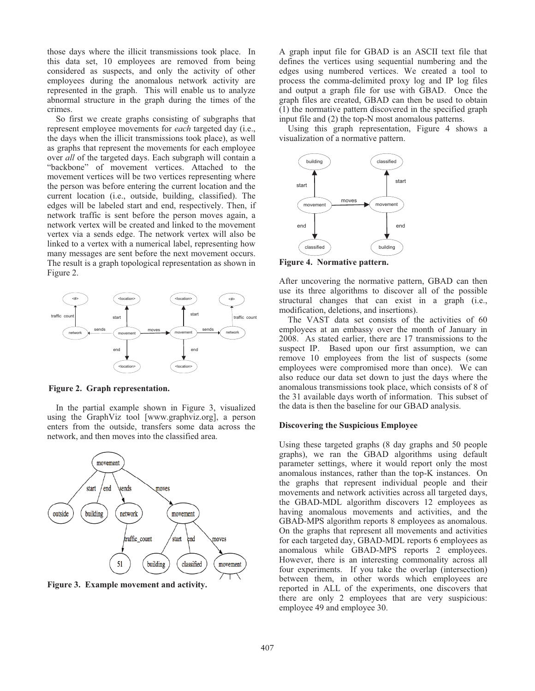those days where the illicit transmissions took place. In this data set, 10 employees are removed from being considered as suspects, and only the activity of other employees during the anomalous network activity are represented in the graph. This will enable us to analyze abnormal structure in the graph during the times of the crimes.

So first we create graphs consisting of subgraphs that represent employee movements for *each* targeted day (i.e., the days when the illicit transmissions took place), as well as graphs that represent the movements for each employee over *all* of the targeted days. Each subgraph will contain a "backbone" of movement vertices. Attached to the movement vertices will be two vertices representing where the person was before entering the current location and the current location (i.e., outside, building, classified). The edges will be labeled start and end, respectively. Then, if network traffic is sent before the person moves again, a network vertex will be created and linked to the movement vertex via a sends edge. The network vertex will also be linked to a vertex with a numerical label, representing how many messages are sent before the next movement occurs. The result is a graph topological representation as shown in Figure 2.



**Figure 2. Graph representation.**

In the partial example shown in Figure 3, visualized using the GraphViz tool [www.graphviz.org], a person enters from the outside, transfers some data across the network, and then moves into the classified area.



**Figure 3. Example movement and activity.** 

A graph input file for GBAD is an ASCII text file that defines the vertices using sequential numbering and the edges using numbered vertices. We created a tool to process the comma-delimited proxy log and IP log files and output a graph file for use with GBAD. Once the graph files are created, GBAD can then be used to obtain (1) the normative pattern discovered in the specified graph input file and (2) the top-N most anomalous patterns.

Using this graph representation, Figure 4 shows a visualization of a normative pattern.



**Figure 4. Normative pattern.** 

After uncovering the normative pattern, GBAD can then use its three algorithms to discover all of the possible structural changes that can exist in a graph (i.e., modification, deletions, and insertions).

The VAST data set consists of the activities of 60 employees at an embassy over the month of January in 2008. As stated earlier, there are 17 transmissions to the suspect IP. Based upon our first assumption, we can remove 10 employees from the list of suspects (some employees were compromised more than once). We can also reduce our data set down to just the days where the anomalous transmissions took place, which consists of 8 of the 31 available days worth of information. This subset of the data is then the baseline for our GBAD analysis.

#### **Discovering the Suspicious Employee**

Using these targeted graphs (8 day graphs and 50 people graphs), we ran the GBAD algorithms using default parameter settings, where it would report only the most anomalous instances, rather than the top-K instances. On the graphs that represent individual people and their movements and network activities across all targeted days, the GBAD-MDL algorithm discovers 12 employees as having anomalous movements and activities, and the GBAD-MPS algorithm reports 8 employees as anomalous. On the graphs that represent all movements and activities for each targeted day, GBAD-MDL reports 6 employees as anomalous while GBAD-MPS reports 2 employees. However, there is an interesting commonality across all four experiments. If you take the overlap (intersection) between them, in other words which employees are reported in ALL of the experiments, one discovers that there are only 2 employees that are very suspicious: employee 49 and employee 30.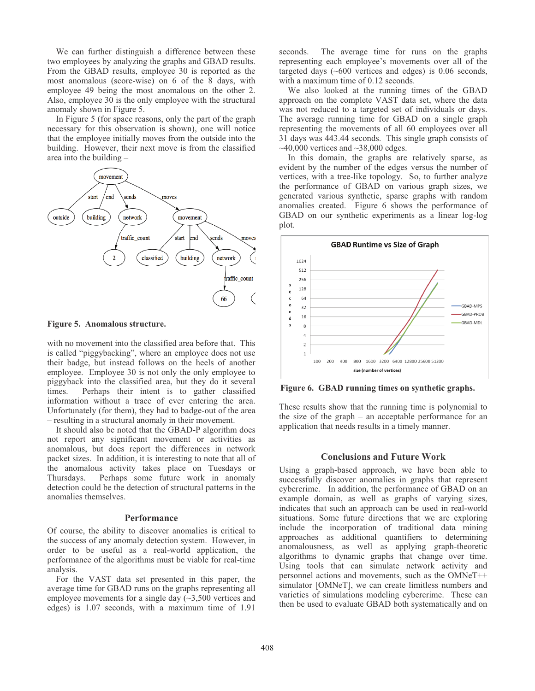We can further distinguish a difference between these two employees by analyzing the graphs and GBAD results. From the GBAD results, employee 30 is reported as the most anomalous (score-wise) on 6 of the 8 days, with employee 49 being the most anomalous on the other 2. Also, employee 30 is the only employee with the structural anomaly shown in Figure 5.

In Figure 5 (for space reasons, only the part of the graph necessary for this observation is shown), one will notice that the employee initially moves from the outside into the building. However, their next move is from the classified area into the building –



**Figure 5. Anomalous structure.**

with no movement into the classified area before that. This is called "piggybacking", where an employee does not use their badge, but instead follows on the heels of another employee. Employee 30 is not only the only employee to piggyback into the classified area, but they do it several times. Perhaps their intent is to gather classified information without a trace of ever entering the area. Unfortunately (for them), they had to badge-out of the area – resulting in a structural anomaly in their movement.

It should also be noted that the GBAD-P algorithm does not report any significant movement or activities as anomalous, but does report the differences in network packet sizes. In addition, it is interesting to note that all of the anomalous activity takes place on Tuesdays or Thursdays. Perhaps some future work in anomaly detection could be the detection of structural patterns in the anomalies themselves.

## **Performance**

Of course, the ability to discover anomalies is critical to the success of any anomaly detection system. However, in order to be useful as a real-world application, the performance of the algorithms must be viable for real-time analysis.

For the VAST data set presented in this paper, the average time for GBAD runs on the graphs representing all employee movements for a single day (~3,500 vertices and edges) is 1.07 seconds, with a maximum time of 1.91

seconds. The average time for runs on the graphs representing each employee's movements over all of the targeted days (~600 vertices and edges) is 0.06 seconds, with a maximum time of 0.12 seconds.

We also looked at the running times of the GBAD approach on the complete VAST data set, where the data was not reduced to a targeted set of individuals or days. The average running time for GBAD on a single graph representing the movements of all 60 employees over all 31 days was 443.44 seconds. This single graph consists of  $\sim$ 40,000 vertices and  $\sim$ 38,000 edges.

In this domain, the graphs are relatively sparse, as evident by the number of the edges versus the number of vertices, with a tree-like topology. So, to further analyze the performance of GBAD on various graph sizes, we generated various synthetic, sparse graphs with random anomalies created. Figure 6 shows the performance of GBAD on our synthetic experiments as a linear log-log plot.



**Figure 6. GBAD running times on synthetic graphs.**

These results show that the running time is polynomial to the size of the graph – an acceptable performance for an application that needs results in a timely manner.

#### **Conclusions and Future Work**

Using a graph-based approach, we have been able to successfully discover anomalies in graphs that represent cybercrime. In addition, the performance of GBAD on an example domain, as well as graphs of varying sizes, indicates that such an approach can be used in real-world situations. Some future directions that we are exploring include the incorporation of traditional data mining approaches as additional quantifiers to determining anomalousness, as well as applying graph-theoretic algorithms to dynamic graphs that change over time. Using tools that can simulate network activity and personnel actions and movements, such as the OMNeT++ simulator [OMNeT], we can create limitless numbers and varieties of simulations modeling cybercrime. These can then be used to evaluate GBAD both systematically and on